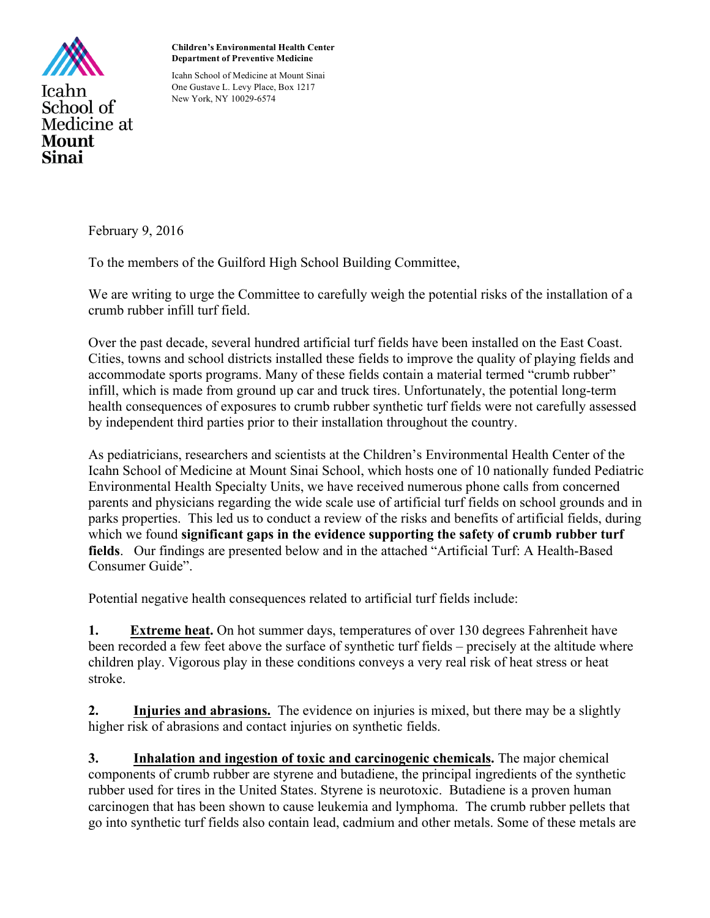

**Children's Environmental Health Center Department of Preventive Medicine**

Icahn School of Medicine at Mount Sinai One Gustave L. Levy Place, Box 1217 New York, NY 10029-6574

February 9, 2016

To the members of the Guilford High School Building Committee,

We are writing to urge the Committee to carefully weigh the potential risks of the installation of a crumb rubber infill turf field.

Over the past decade, several hundred artificial turf fields have been installed on the East Coast. Cities, towns and school districts installed these fields to improve the quality of playing fields and accommodate sports programs. Many of these fields contain a material termed "crumb rubber" infill, which is made from ground up car and truck tires. Unfortunately, the potential long-term health consequences of exposures to crumb rubber synthetic turf fields were not carefully assessed by independent third parties prior to their installation throughout the country.

As pediatricians, researchers and scientists at the Children's Environmental Health Center of the Icahn School of Medicine at Mount Sinai School, which hosts one of 10 nationally funded Pediatric Environmental Health Specialty Units, we have received numerous phone calls from concerned parents and physicians regarding the wide scale use of artificial turf fields on school grounds and in parks properties. This led us to conduct a review of the risks and benefits of artificial fields, during which we found **significant gaps in the evidence supporting the safety of crumb rubber turf fields**. Our findings are presented below and in the attached "Artificial Turf: A Health-Based Consumer Guide".

Potential negative health consequences related to artificial turf fields include:

**1. Extreme heat.** On hot summer days, temperatures of over 130 degrees Fahrenheit have been recorded a few feet above the surface of synthetic turf fields – precisely at the altitude where children play. Vigorous play in these conditions conveys a very real risk of heat stress or heat stroke.

**2. Injuries and abrasions.** The evidence on injuries is mixed, but there may be a slightly higher risk of abrasions and contact injuries on synthetic fields.

**3. Inhalation and ingestion of toxic and carcinogenic chemicals.** The major chemical components of crumb rubber are styrene and butadiene, the principal ingredients of the synthetic rubber used for tires in the United States. Styrene is neurotoxic. Butadiene is a proven human carcinogen that has been shown to cause leukemia and lymphoma. The crumb rubber pellets that go into synthetic turf fields also contain lead, cadmium and other metals. Some of these metals are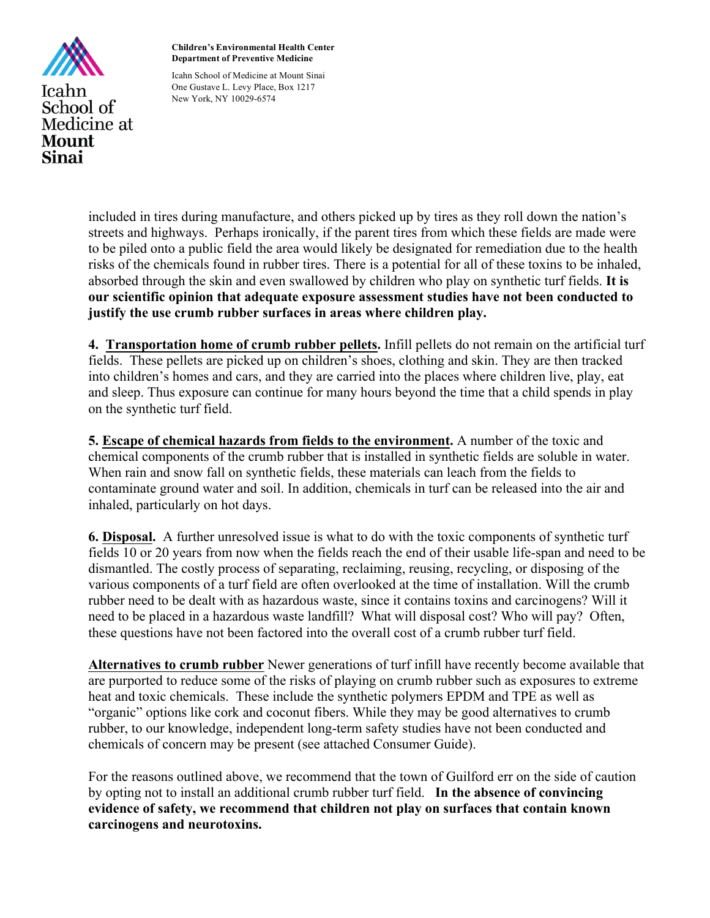

**Children's Environmental Health Center Department of Preventive Medicine**

Icahn School of Medicine at Mount Sinai One Gustave L. Levy Place, Box 1217 New York, NY 10029-6574

included in tires during manufacture, and others picked up by tires as they roll down the nation's streets and highways. Perhaps ironically, if the parent tires from which these fields are made were to be piled onto a public field the area would likely be designated for remediation due to the health risks of the chemicals found in rubber tires. There is a potential for all of these toxins to be inhaled, absorbed through the skin and even swallowed by children who play on synthetic turf fields. **It is our scientific opinion that adequate exposure assessment studies have not been conducted to justify the use crumb rubber surfaces in areas where children play.** 

**4. Transportation home of crumb rubber pellets.** Infill pellets do not remain on the artificial turf fields. These pellets are picked up on children's shoes, clothing and skin. They are then tracked into children's homes and cars, and they are carried into the places where children live, play, eat and sleep. Thus exposure can continue for many hours beyond the time that a child spends in play on the synthetic turf field.

**5. Escape of chemical hazards from fields to the environment.** A number of the toxic and chemical components of the crumb rubber that is installed in synthetic fields are soluble in water. When rain and snow fall on synthetic fields, these materials can leach from the fields to contaminate ground water and soil. In addition, chemicals in turf can be released into the air and inhaled, particularly on hot days.

**6. Disposal.** A further unresolved issue is what to do with the toxic components of synthetic turf fields 10 or 20 years from now when the fields reach the end of their usable life-span and need to be dismantled. The costly process of separating, reclaiming, reusing, recycling, or disposing of the various components of a turf field are often overlooked at the time of installation. Will the crumb rubber need to be dealt with as hazardous waste, since it contains toxins and carcinogens? Will it need to be placed in a hazardous waste landfill? What will disposal cost? Who will pay? Often, these questions have not been factored into the overall cost of a crumb rubber turf field.

**Alternatives to crumb rubber** Newer generations of turf infill have recently become available that are purported to reduce some of the risks of playing on crumb rubber such as exposures to extreme heat and toxic chemicals. These include the synthetic polymers EPDM and TPE as well as "organic" options like cork and coconut fibers. While they may be good alternatives to crumb rubber, to our knowledge, independent long-term safety studies have not been conducted and chemicals of concern may be present (see attached Consumer Guide).

For the reasons outlined above, we recommend that the town of Guilford err on the side of caution by opting not to install an additional crumb rubber turf field. **In the absence of convincing evidence of safety, we recommend that children not play on surfaces that contain known carcinogens and neurotoxins.**